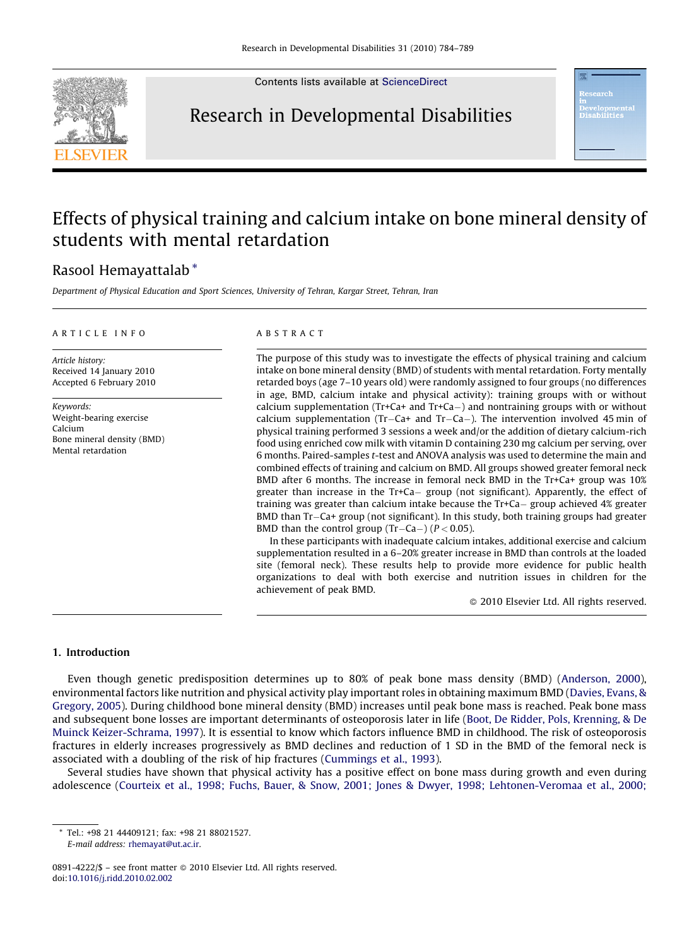

Contents lists available at [ScienceDirect](http://www.sciencedirect.com/science/journal/08914222)

## Research in Developmental Disabilities

# Effects of physical training and calcium intake on bone mineral density of students with mental retardation

### Rasool Hemayattalab \*

Department of Physical Education and Sport Sciences, University of Tehran, Kargar Street, Tehran, Iran

#### ARTICLE INFO

Article history: Received 14 January 2010 Accepted 6 February 2010

Keywords: Weight-bearing exercise Calcium Bone mineral density (BMD) Mental retardation

#### ABSTRACT

The purpose of this study was to investigate the effects of physical training and calcium intake on bone mineral density (BMD) of students with mental retardation. Forty mentally retarded boys (age 7–10 years old) were randomly assigned to four groups (no differences in age, BMD, calcium intake and physical activity): training groups with or without calcium supplementation (Tr+Ca+ and Tr+Ca-) and nontraining groups with or without calcium supplementation (Tr-Ca+ and Tr-Ca-). The intervention involved 45 min of physical training performed 3 sessions a week and/or the addition of dietary calcium-rich food using enriched cow milk with vitamin D containing 230 mg calcium per serving, over 6 months. Paired-samples t-test and ANOVA analysis was used to determine the main and combined effects of training and calcium on BMD. All groups showed greater femoral neck BMD after 6 months. The increase in femoral neck BMD in the Tr+Ca+ group was 10% greater than increase in the Tr+Ca- group (not significant). Apparently, the effect of training was greater than calcium intake because the Tr+Ca- group achieved 4% greater BMD than Tr-Ca+ group (not significant). In this study, both training groups had greater BMD than the control group  $(Tr-Ca-)$  ( $P < 0.05$ ).

In these participants with inadequate calcium intakes, additional exercise and calcium supplementation resulted in a 6–20% greater increase in BMD than controls at the loaded site (femoral neck). These results help to provide more evidence for public health organizations to deal with both exercise and nutrition issues in children for the achievement of peak BMD.

- 2010 Elsevier Ltd. All rights reserved.

#### 1. Introduction

Even though genetic predisposition determines up to 80% of peak bone mass density (BMD) ([Anderson, 2000](#page--1-0)), environmental factors like nutrition and physical activity play important roles in obtaining maximum BMD [\(Davies, Evans, &](#page--1-0) [Gregory, 2005](#page--1-0)). During childhood bone mineral density (BMD) increases until peak bone mass is reached. Peak bone mass and subsequent bone losses are important determinants of osteoporosis later in life [\(Boot, De Ridder, Pols, Krenning, & De](#page--1-0) [Muinck Keizer-Schrama, 1997](#page--1-0)). It is essential to know which factors influence BMD in childhood. The risk of osteoporosis fractures in elderly increases progressively as BMD declines and reduction of 1 SD in the BMD of the femoral neck is associated with a doubling of the risk of hip fractures ([Cummings et al., 1993\)](#page--1-0).

Several studies have shown that physical activity has a positive effect on bone mass during growth and even during adolescence ([Courteix et al., 1998; Fuchs, Bauer, & Snow, 2001; Jones & Dwyer, 1998; Lehtonen-Veromaa et al., 2000;](#page--1-0)

Tel.: +98 21 44409121; fax: +98 21 88021527.

E-mail address: [rhemayat@ut.ac.ir](mailto:rhemayat@ut.ac.ir).

<sup>0891-4222/\$ –</sup> see front matter © 2010 Elsevier Ltd. All rights reserved. doi[:10.1016/j.ridd.2010.02.002](http://dx.doi.org/10.1016/j.ridd.2010.02.002)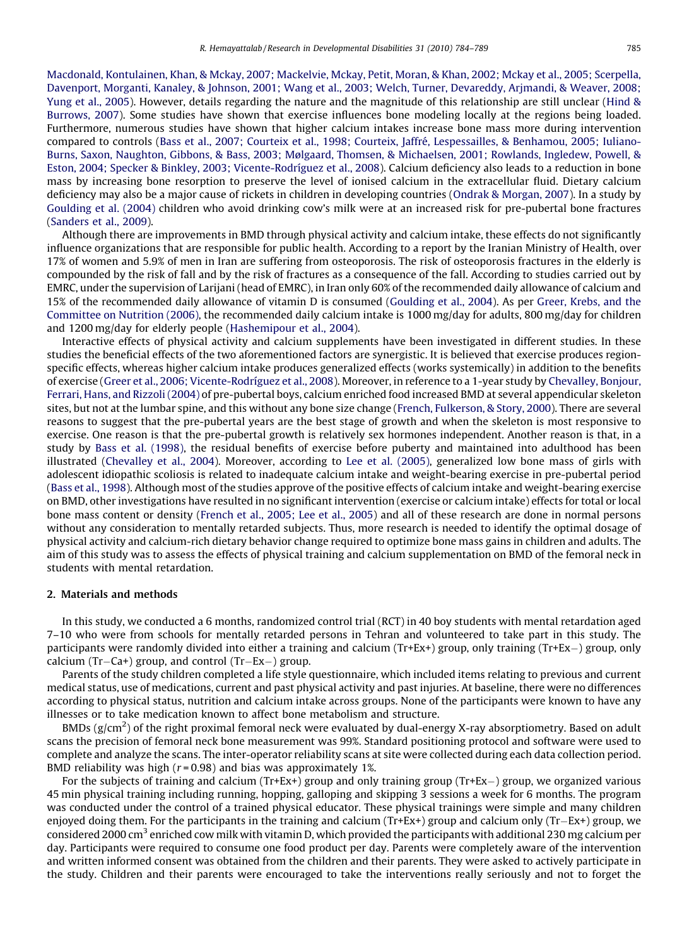[Macdonald, Kontulainen, Khan, & Mckay, 2007; Mackelvie, Mckay, Petit, Moran, & Khan, 2002; Mckay et al., 2005; Scerpella,](#page--1-0) [Davenport, Morganti, Kanaley, & Johnson, 2001; Wang et al., 2003; Welch, Turner, Devareddy, Arjmandi, & Weaver, 2008;](#page--1-0) [Yung et al., 2005\)](#page--1-0). However, details regarding the nature and the magnitude of this relationship are still unclear [\(Hind &](#page--1-0) [Burrows, 2007](#page--1-0)). Some studies have shown that exercise influences bone modeling locally at the regions being loaded. Furthermore, numerous studies have shown that higher calcium intakes increase bone mass more during intervention compared to controls (Bass et al., 2007; Courteix et al., 1998; Courteix, Jaffré, Lespessailles, & Benhamou, 2005; Iuliano-[Burns, Saxon, Naughton, Gibbons, & Bass, 2003; Mølgaard, Thomsen, & Michaelsen, 2001; Rowlands, Ingledew, Powell, &](#page--1-0) Eston, 2004; Specker & Binkley, 2003; Vicente-Rodríguez et al., 2008). Calcium deficiency also leads to a reduction in bone mass by increasing bone resorption to preserve the level of ionised calcium in the extracellular fluid. Dietary calcium deficiency may also be a major cause of rickets in children in developing countries ([Ondrak & Morgan, 2007\)](#page--1-0). In a study by [Goulding et al. \(2004\)](#page--1-0) children who avoid drinking cow's milk were at an increased risk for pre-pubertal bone fractures ([Sanders et al., 2009](#page--1-0)).

Although there are improvements in BMD through physical activity and calcium intake, these effects do not significantly influence organizations that are responsible for public health. According to a report by the Iranian Ministry of Health, over 17% of women and 5.9% of men in Iran are suffering from osteoporosis. The risk of osteoporosis fractures in the elderly is compounded by the risk of fall and by the risk of fractures as a consequence of the fall. According to studies carried out by EMRC, under the supervision of Larijani (head of EMRC), in Iran only 60% of the recommended daily allowance of calcium and 15% of the recommended daily allowance of vitamin D is consumed [\(Goulding et al., 2004\)](#page--1-0). As per [Greer, Krebs, and the](#page--1-0) [Committee on Nutrition \(2006\),](#page--1-0) the recommended daily calcium intake is 1000 mg/day for adults, 800 mg/day for children and 1200 mg/day for elderly people ([Hashemipour et al., 2004\)](#page--1-0).

Interactive effects of physical activity and calcium supplements have been investigated in different studies. In these studies the beneficial effects of the two aforementioned factors are synergistic. It is believed that exercise produces regionspecific effects, whereas higher calcium intake produces generalized effects (works systemically) in addition to the benefits of exercise (Greer et al., 2006; Vicente-Rodríguez et al., 2008). Moreover, in reference to a 1-year study by [Chevalley, Bonjour,](#page--1-0) [Ferrari, Hans, and Rizzoli \(2004\)](#page--1-0) of pre-pubertal boys, calcium enriched food increased BMD at several appendicular skeleton sites, but not at the lumbar spine, and this without any bone size change ([French, Fulkerson, & Story, 2000](#page--1-0)). There are several reasons to suggest that the pre-pubertal years are the best stage of growth and when the skeleton is most responsive to exercise. One reason is that the pre-pubertal growth is relatively sex hormones independent. Another reason is that, in a study by [Bass et al. \(1998\)](#page--1-0), the residual benefits of exercise before puberty and maintained into adulthood has been illustrated ([Chevalley et al., 2004](#page--1-0)). Moreover, according to [Lee et al. \(2005\)](#page--1-0), generalized low bone mass of girls with adolescent idiopathic scoliosis is related to inadequate calcium intake and weight-bearing exercise in pre-pubertal period ([Bass et al., 1998](#page--1-0)). Although most of the studies approve of the positive effects of calcium intake and weight-bearing exercise on BMD, other investigations have resulted in no significant intervention (exercise or calcium intake) effects for total or local bone mass content or density [\(French et al., 2005; Lee et al., 2005\)](#page--1-0) and all of these research are done in normal persons without any consideration to mentally retarded subjects. Thus, more research is needed to identify the optimal dosage of physical activity and calcium-rich dietary behavior change required to optimize bone mass gains in children and adults. The aim of this study was to assess the effects of physical training and calcium supplementation on BMD of the femoral neck in students with mental retardation.

#### 2. Materials and methods

In this study, we conducted a 6 months, randomized control trial (RCT) in 40 boy students with mental retardation aged 7–10 who were from schools for mentally retarded persons in Tehran and volunteered to take part in this study. The participants were randomly divided into either a training and calcium (Tr+Ex+) group, only training (Tr+Ex-) group, only calcium (Tr-Ca+) group, and control (Tr-Ex-) group.

Parents of the study children completed a life style questionnaire, which included items relating to previous and current medical status, use of medications, current and past physical activity and past injuries. At baseline, there were no differences according to physical status, nutrition and calcium intake across groups. None of the participants were known to have any illnesses or to take medication known to affect bone metabolism and structure.

BMDs (g/cm<sup>2</sup>) of the right proximal femoral neck were evaluated by dual-energy X-ray absorptiometry. Based on adult scans the precision of femoral neck bone measurement was 99%. Standard positioning protocol and software were used to complete and analyze the scans. The inter-operator reliability scans at site were collected during each data collection period. BMD reliability was high  $(r=0.98)$  and bias was approximately 1%.

For the subjects of training and calcium (Tr+Ex+) group and only training group (Tr+Ex-) group, we organized various 45 min physical training including running, hopping, galloping and skipping 3 sessions a week for 6 months. The program was conducted under the control of a trained physical educator. These physical trainings were simple and many children enjoyed doing them. For the participants in the training and calcium (Tr+Ex+) group and calcium only (Tr-Ex+) group, we considered 2000 cm<sup>3</sup> enriched cow milk with vitamin D, which provided the participants with additional 230 mg calcium per day. Participants were required to consume one food product per day. Parents were completely aware of the intervention and written informed consent was obtained from the children and their parents. They were asked to actively participate in the study. Children and their parents were encouraged to take the interventions really seriously and not to forget the